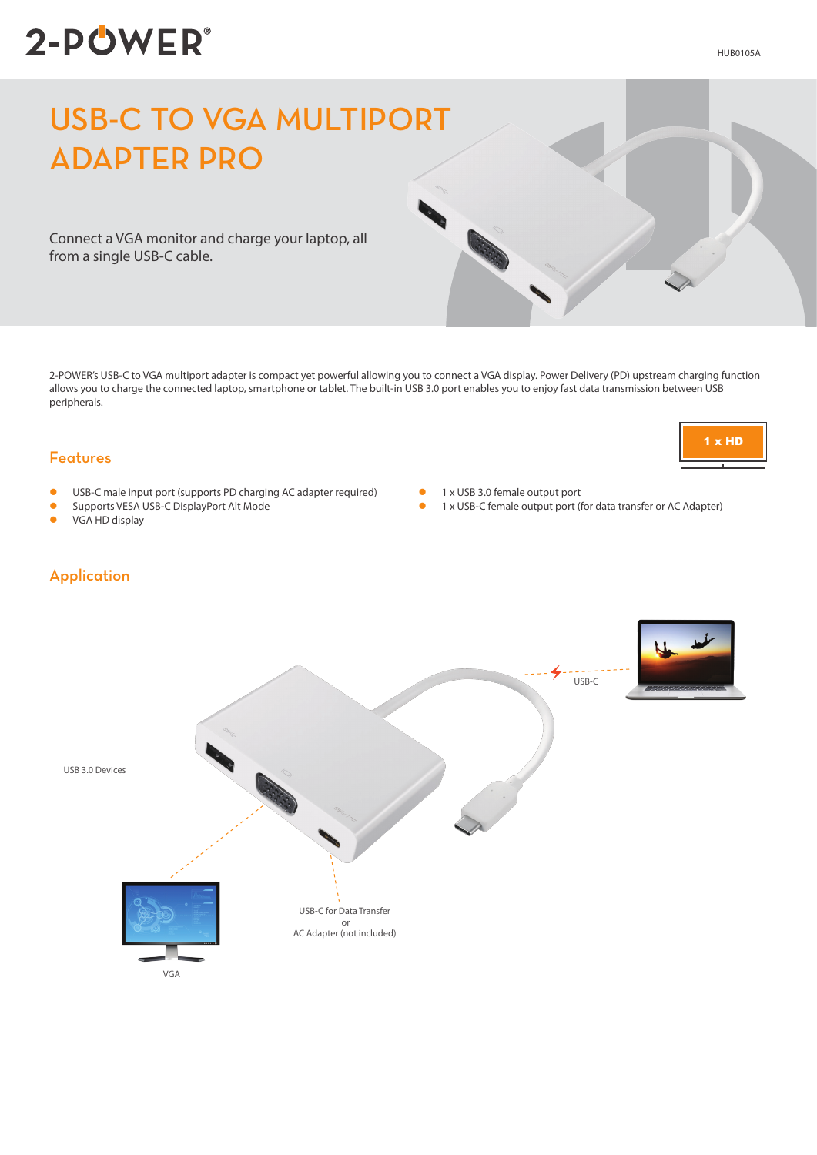# 2-POWER®

#### HUB0105A

# USB-C TO VGA MULTIPORT ADAPTER PRO

Connect a VGA monitor and charge your laptop, all from a single USB-C cable.

2-POWER's USB-C to VGA multiport adapter is compact yet powerful allowing you to connect a VGA display. Power Delivery (PD) upstream charging function allows you to charge the connected laptop, smartphone or tablet. The built-in USB 3.0 port enables you to enjoy fast data transmission between USB peripherals.

#### Features

- USB-C male input port (supports PD charging AC adapter required)
- **C** Supports VESA USB-C DisplayPort Alt Mode
- $\bullet$  VGA HD display

Application

- 1 x USB 3.0 female output port
- 1 x USB-C female output port (for data transfer or AC Adapter)
- USB-C for Data Transfer or AC Adapter (not included) USB 3.0 Devices VGA USB-C